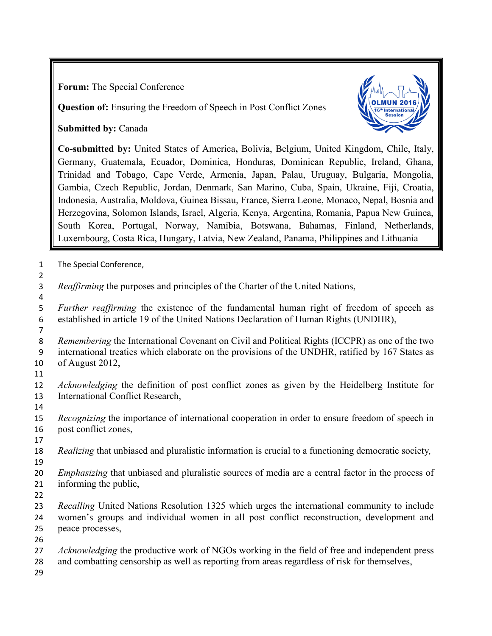**Forum:** The Special Conference

**Question of:** Ensuring the Freedom of Speech in Post Conflict Zones

**Submitted by:** Canada



**Co-submitted by:** United States of America**,** Bolivia, Belgium, United Kingdom, Chile, Italy, Germany, Guatemala, Ecuador, Dominica, Honduras, Dominican Republic, Ireland, Ghana, Trinidad and Tobago, Cape Verde, Armenia, Japan, Palau, Uruguay, Bulgaria, Mongolia, Gambia, Czech Republic, Jordan, Denmark, San Marino, Cuba, Spain, Ukraine, Fiji, Croatia, Indonesia, Australia, Moldova, Guinea Bissau, France, Sierra Leone, Monaco, Nepal, Bosnia and Herzegovina, Solomon Islands, Israel, Algeria, Kenya, Argentina, Romania, Papua New Guinea, South Korea, Portugal, Norway, Namibia, Botswana, Bahamas, Finland, Netherlands, Luxembourg, Costa Rica, Hungary, Latvia, New Zealand, Panama, Philippines and Lithuania

- The Special Conference,
- *Reaffirming* the purposes and principles of the Charter of the United Nations,
- *Further reaffirming* the existence of the fundamental human right of freedom of speech as established in article 19 of the United Nations Declaration of Human Rights (UNDHR),
- *Remembering* the International Covenant on Civil and Political Rights (ICCPR) as one of the two international treaties which elaborate on the provisions of the UNDHR, ratified by 167 States as of August 2012,
- 

- *Acknowledging* the definition of post conflict zones as given by the Heidelberg Institute for International Conflict Research,
- 
- *Recognizing* the importance of international cooperation in order to ensure freedom of speech in post conflict zones,
- 
- *Realizing* that unbiased and pluralistic information is crucial to a functioning democratic society*,*
- *Emphasizing* that unbiased and pluralistic sources of media are a central factor in the process of informing the public,
- 
- *Recalling* United Nations Resolution 1325 which urges the international community to include women's groups and individual women in all post conflict reconstruction, development and peace processes,
- 
- *Acknowledging* the productive work of NGOs working in the field of free and independent press
- and combatting censorship as well as reporting from areas regardless of risk for themselves,
-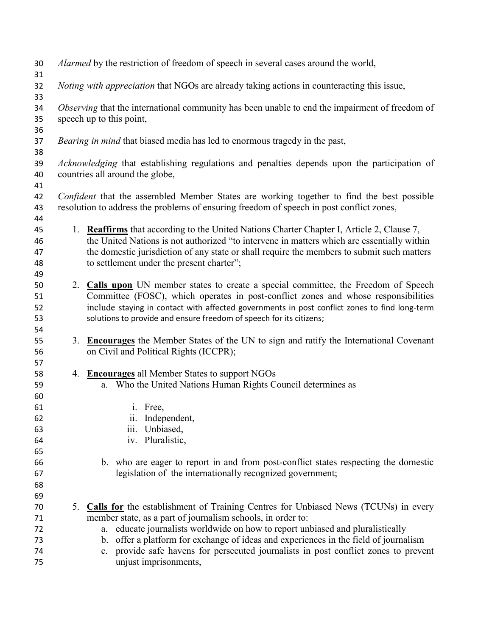| 30<br>31       |    | Alarmed by the restriction of freedom of speech in several cases around the world,                                                                                                                                                                                                    |
|----------------|----|---------------------------------------------------------------------------------------------------------------------------------------------------------------------------------------------------------------------------------------------------------------------------------------|
| 32<br>33       |    | Noting with appreciation that NGOs are already taking actions in counteracting this issue,                                                                                                                                                                                            |
| 34<br>35       |    | Observing that the international community has been unable to end the impairment of freedom of<br>speech up to this point,                                                                                                                                                            |
| 36<br>37<br>38 |    | <i>Bearing in mind</i> that biased media has led to enormous tragedy in the past,                                                                                                                                                                                                     |
| 39<br>40       |    | Acknowledging that establishing regulations and penalties depends upon the participation of<br>countries all around the globe,                                                                                                                                                        |
| 41<br>42<br>43 |    | <i>Confident</i> that the assembled Member States are working together to find the best possible<br>resolution to address the problems of ensuring freedom of speech in post conflict zones,                                                                                          |
| 44             |    |                                                                                                                                                                                                                                                                                       |
| 45<br>46<br>47 |    | 1. Reaffirms that according to the United Nations Charter Chapter I, Article 2, Clause 7,<br>the United Nations is not authorized "to intervene in matters which are essentially within<br>the domestic jurisdiction of any state or shall require the members to submit such matters |
| 48             |    | to settlement under the present charter";                                                                                                                                                                                                                                             |
| 49             |    |                                                                                                                                                                                                                                                                                       |
| 50             |    | 2. Calls upon UN member states to create a special committee, the Freedom of Speech                                                                                                                                                                                                   |
| 51             |    | Committee (FOSC), which operates in post-conflict zones and whose responsibilities                                                                                                                                                                                                    |
| 52             |    | include staying in contact with affected governments in post conflict zones to find long-term                                                                                                                                                                                         |
| 53             |    | solutions to provide and ensure freedom of speech for its citizens;                                                                                                                                                                                                                   |
| 54             |    |                                                                                                                                                                                                                                                                                       |
| 55             |    | 3. Encourages the Member States of the UN to sign and ratify the International Covenant                                                                                                                                                                                               |
| 56             |    | on Civil and Political Rights (ICCPR);                                                                                                                                                                                                                                                |
|                |    |                                                                                                                                                                                                                                                                                       |
| 57             |    | 4. Encourages all Member States to support NGOs                                                                                                                                                                                                                                       |
| 58             |    |                                                                                                                                                                                                                                                                                       |
| 59             |    | a. Who the United Nations Human Rights Council determines as                                                                                                                                                                                                                          |
| 60             |    |                                                                                                                                                                                                                                                                                       |
| 61             |    | i. Free,                                                                                                                                                                                                                                                                              |
| 62             |    | ii. Independent,                                                                                                                                                                                                                                                                      |
| 63             |    | Unbiased,<br><i>iii.</i>                                                                                                                                                                                                                                                              |
| 64             |    | iv. Pluralistic,                                                                                                                                                                                                                                                                      |
| 65             |    |                                                                                                                                                                                                                                                                                       |
| 66             |    | b. who are eager to report in and from post-conflict states respecting the domestic                                                                                                                                                                                                   |
| 67             |    | legislation of the internationally recognized government;                                                                                                                                                                                                                             |
| 68             |    |                                                                                                                                                                                                                                                                                       |
| 69             |    |                                                                                                                                                                                                                                                                                       |
| 70             | 5. | <b>Calls for</b> the establishment of Training Centres for Unbiased News (TCUNs) in every                                                                                                                                                                                             |
| 71             |    | member state, as a part of journalism schools, in order to:                                                                                                                                                                                                                           |
| 72             |    | educate journalists worldwide on how to report unbiased and pluralistically<br>a.                                                                                                                                                                                                     |
| 73             |    | offer a platform for exchange of ideas and experiences in the field of journalism<br>b.                                                                                                                                                                                               |
| 74             |    | c. provide safe havens for persecuted journalists in post conflict zones to prevent                                                                                                                                                                                                   |
| 75             |    | unjust imprisonments,                                                                                                                                                                                                                                                                 |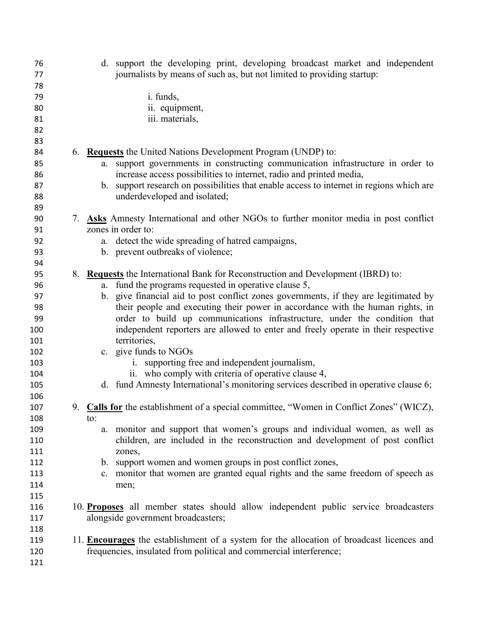| 76  | d. support the developing print, developing broadcast market and independent              |
|-----|-------------------------------------------------------------------------------------------|
| 77  | journalists by means of such as, but not limited to providing startup:                    |
| 78  |                                                                                           |
| 79  | <i>i.</i> funds,                                                                          |
| 80  | ii. equipment,                                                                            |
| 81  | iii. materials,                                                                           |
| 82  |                                                                                           |
| 83  |                                                                                           |
| 84  | 6. Requests the United Nations Development Program (UNDP) to:                             |
| 85  | support governments in constructing communication infrastructure in order to<br>a.        |
| 86  | increase access possibilities to internet, radio and printed media,                       |
| 87  | b. support research on possibilities that enable access to internet in regions which are  |
| 88  | underdeveloped and isolated;                                                              |
| 89  |                                                                                           |
| 90  | 7. Asks Amnesty International and other NGOs to further monitor media in post conflict    |
| 91  | zones in order to:                                                                        |
| 92  | a. detect the wide spreading of hatred campaigns,                                         |
| 93  | b. prevent outbreaks of violence;                                                         |
| 94  |                                                                                           |
| 95  | 8. Requests the International Bank for Reconstruction and Development (IBRD) to:          |
| 96  | a. fund the programs requested in operative clause 5,                                     |
| 97  | b. give financial aid to post conflict zones governments, if they are legitimated by      |
| 98  | their people and executing their power in accordance with the human rights, in            |
| 99  | order to build up communications infrastructure, under the condition that                 |
| 100 | independent reporters are allowed to enter and freely operate in their respective         |
| 101 | territories,                                                                              |
| 102 | c. give funds to NGOs                                                                     |
| 103 | i. supporting free and independent journalism,                                            |
| 104 | ii. who comply with criteria of operative clause 4,                                       |
| 105 | d. fund Amnesty International's monitoring services described in operative clause 6;      |
| 106 |                                                                                           |
| 107 | 9. Calls for the establishment of a special committee, "Women in Conflict Zones" (WICZ),  |
|     |                                                                                           |
| 108 | to:                                                                                       |
| 109 | monitor and support that women's groups and individual women, as well as<br>a.            |
| 110 | children, are included in the reconstruction and development of post conflict             |
| 111 | zones,                                                                                    |
| 112 | b. support women and women groups in post conflict zones,                                 |
| 113 | monitor that women are granted equal rights and the same freedom of speech as<br>c.       |
| 114 | men;                                                                                      |
| 115 |                                                                                           |
| 116 | 10. Proposes all member states should allow independent public service broadcasters       |
| 117 | alongside government broadcasters;                                                        |
| 118 |                                                                                           |
| 119 | 11. Encourages the establishment of a system for the allocation of broadcast licences and |
| 120 | frequencies, insulated from political and commercial interference;                        |
| 121 |                                                                                           |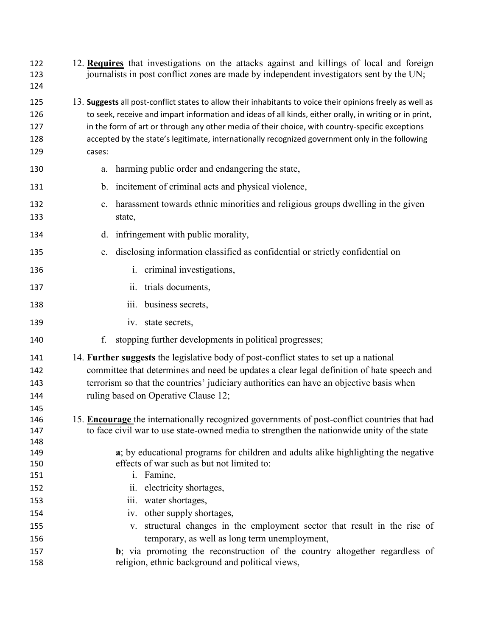| 122<br>123<br>124               | 12. Requires that investigations on the attacks against and killings of local and foreign<br>journalists in post conflict zones are made by independent investigators sent by the UN;                                                                                                                                                                                                                                                |
|---------------------------------|--------------------------------------------------------------------------------------------------------------------------------------------------------------------------------------------------------------------------------------------------------------------------------------------------------------------------------------------------------------------------------------------------------------------------------------|
| 125<br>126<br>127<br>128<br>129 | 13. Suggests all post-conflict states to allow their inhabitants to voice their opinions freely as well as<br>to seek, receive and impart information and ideas of all kinds, either orally, in writing or in print,<br>in the form of art or through any other media of their choice, with country-specific exceptions<br>accepted by the state's legitimate, internationally recognized government only in the following<br>cases: |
| 130                             | harming public order and endangering the state,<br>a.                                                                                                                                                                                                                                                                                                                                                                                |
| 131                             | incitement of criminal acts and physical violence,<br>$\mathbf{b}$ .                                                                                                                                                                                                                                                                                                                                                                 |
| 132<br>133                      | harassment towards ethnic minorities and religious groups dwelling in the given<br>c.<br>state,                                                                                                                                                                                                                                                                                                                                      |
| 134                             | d. infringement with public morality,                                                                                                                                                                                                                                                                                                                                                                                                |
| 135                             | disclosing information classified as confidential or strictly confidential on<br>e.                                                                                                                                                                                                                                                                                                                                                  |
| 136                             | i. criminal investigations,                                                                                                                                                                                                                                                                                                                                                                                                          |
| 137                             | ii. trials documents,                                                                                                                                                                                                                                                                                                                                                                                                                |
| 138                             | business secrets,<br>iii.                                                                                                                                                                                                                                                                                                                                                                                                            |
| 139                             | iv. state secrets,                                                                                                                                                                                                                                                                                                                                                                                                                   |
| 140                             | f.<br>stopping further developments in political progresses;                                                                                                                                                                                                                                                                                                                                                                         |
| 141<br>142<br>143<br>144        | 14. Further suggests the legislative body of post-conflict states to set up a national<br>committee that determines and need be updates a clear legal definition of hate speech and<br>terrorism so that the countries' judiciary authorities can have an objective basis when<br>ruling based on Operative Clause 12;                                                                                                               |
| 145<br>146<br>147<br>148        | 15. Encourage the internationally recognized governments of post-conflict countries that had<br>to face civil war to use state-owned media to strengthen the nationwide unity of the state                                                                                                                                                                                                                                           |
| 149<br>150<br>151               | a; by educational programs for children and adults alike highlighting the negative<br>effects of war such as but not limited to:<br>i. Famine,                                                                                                                                                                                                                                                                                       |
| 152                             | ii. electricity shortages,                                                                                                                                                                                                                                                                                                                                                                                                           |
| 153                             | iii. water shortages,                                                                                                                                                                                                                                                                                                                                                                                                                |
| 154<br>155                      | iv. other supply shortages,<br>v. structural changes in the employment sector that result in the rise of                                                                                                                                                                                                                                                                                                                             |
| 156                             | temporary, as well as long term unemployment,                                                                                                                                                                                                                                                                                                                                                                                        |
| 157                             | b; via promoting the reconstruction of the country altogether regardless of                                                                                                                                                                                                                                                                                                                                                          |
| 158                             | religion, ethnic background and political views,                                                                                                                                                                                                                                                                                                                                                                                     |